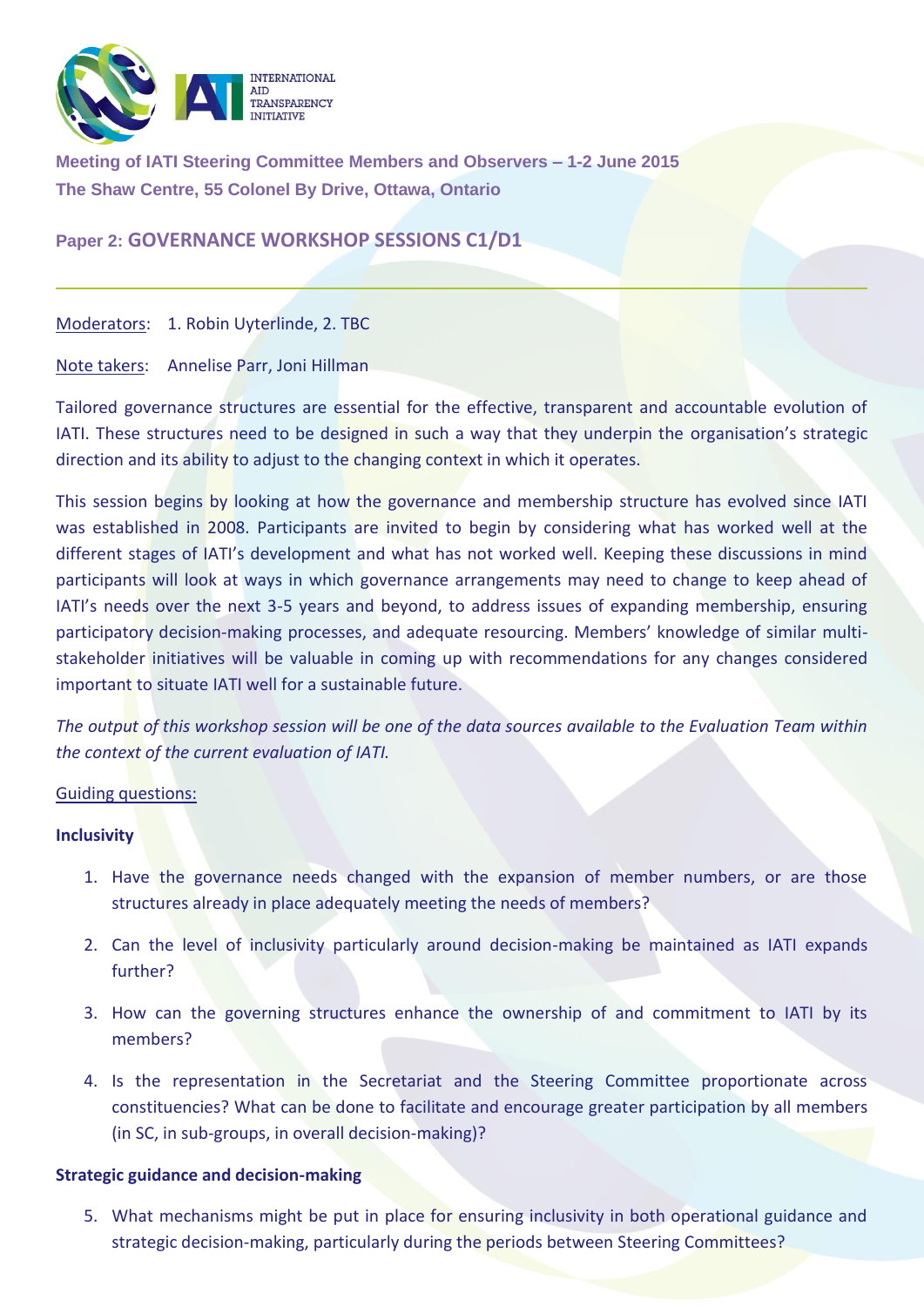

**Meeting of IATI Steering Committee Members and Observers – 1-2 June 2015 The Shaw Centre, 55 Colonel By Drive, Ottawa, Ontario**

# **Paper 2: GOVERNANCE WORKSHOP SESSIONS C1/D1**

Moderators: 1. Robin Uyterlinde, 2. TBC

Note takers: Annelise Parr, Joni Hillman

Tailored governance structures are essential for the effective, transparent and accountable evolution of IATI. These structures need to be designed in such a way that they underpin the organisation's strategic direction and its ability to adjust to the changing context in which it operates.

This session begins by looking at how the governance and membership structure has evolved since IATI was established in 2008. Participants are invited to begin by considering what has worked well at the different stages of IATI's development and what has not worked well. Keeping these discussions in mind participants will look at ways in which governance arrangements may need to change to keep ahead of IATI's needs over the next 3-5 years and beyond, to address issues of expanding membership, ensuring participatory decision-making processes, and adequate resourcing. Members' knowledge of similar multistakeholder initiatives will be valuable in coming up with recommendations for any changes considered important to situate IATI well for a sustainable future.

*The output of this workshop session will be one of the data sources available to the Evaluation Team within the context of the current evaluation of IATI.* 

#### Guiding questions:

#### **Inclusivity**

- 1. Have the governance needs changed with the expansion of member numbers, or are those structures already in place adequately meeting the needs of members?
- 2. Can the level of inclusivity particularly around decision-making be maintained as IATI expands further?
- 3. How can the governing structures enhance the ownership of and commitment to IATI by its members?
- 4. Is the representation in the Secretariat and the Steering Committee proportionate across constituencies? What can be done to facilitate and encourage greater participation by all members (in SC, in sub-groups, in overall decision-making)?

## **Strategic guidance and decision-making**

5. What mechanisms might be put in place for ensuring inclusivity in both operational guidance and strategic decision-making, particularly during the periods between Steering Committees?